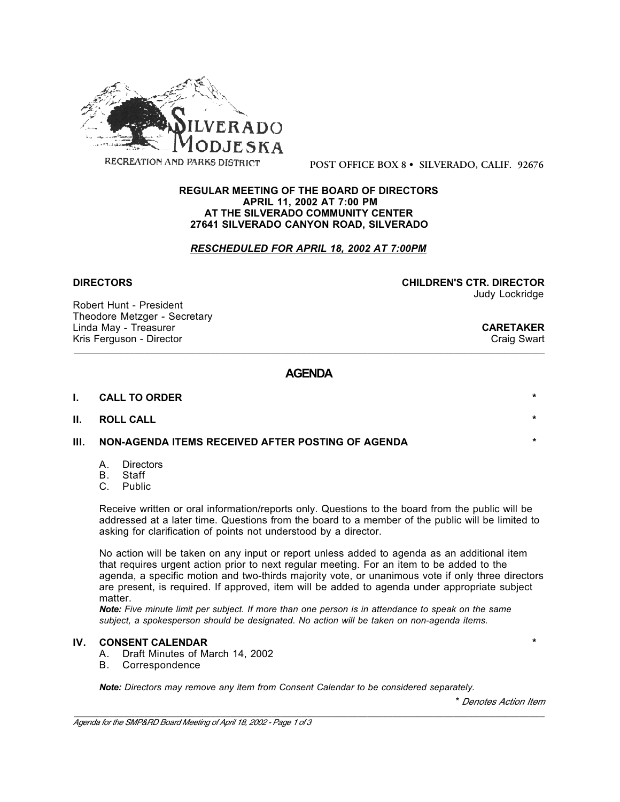

**POST OFFICE BOX 8 • SILVERADO, CALIF. 92676**

#### **REGULAR MEETING OF THE BOARD OF DIRECTORS APRIL 11, 2002 AT 7:00 PM AT THE SILVERADO COMMUNITY CENTER 27641 SILVERADO CANYON ROAD, SILVERADO**

## *RESCHEDULED FOR APRIL 18, 2002 AT 7:00PM*

Robert Hunt - President Theodore Metzger - Secretary Linda May - Treasurer **CARETAKER**<br>
Kris Ferguson - Director **CARETAKER**<br>
Craig Swart Kris Ferguson - Director

**DIRECTORS CHILDREN'S CTR. DIRECTOR** Judy Lockridge

# **AGENDA**

\_\_\_\_\_\_\_\_\_\_\_\_\_\_\_\_\_\_\_\_\_\_\_\_\_\_\_\_\_\_\_\_\_\_\_\_\_\_\_\_\_\_\_\_\_\_\_\_\_\_\_\_\_\_\_\_\_\_\_\_\_\_\_\_\_\_\_\_\_\_\_\_\_\_\_\_\_\_\_\_\_\_\_\_\_\_\_\_\_\_\_\_\_

| ı. | <b>CALL TO ORDER</b> |  |
|----|----------------------|--|
|    | II. ROLL CALL        |  |

### **III. NON-AGENDA ITEMS RECEIVED AFTER POSTING OF AGENDA \***

- A. Directors
- B. Staff
- C. Public

Receive written or oral information/reports only. Questions to the board from the public will be addressed at a later time. Questions from the board to a member of the public will be limited to asking for clarification of points not understood by a director.

No action will be taken on any input or report unless added to agenda as an additional item that requires urgent action prior to next regular meeting. For an item to be added to the agenda, a specific motion and two-thirds majority vote, or unanimous vote if only three directors are present, is required. If approved, item will be added to agenda under appropriate subject matter.

*Note: Five minute limit per subject. If more than one person is in attendance to speak on the same subject, a spokesperson should be designated. No action will be taken on non-agenda items.*

### **IV. CONSENT CALENDAR \***

- A. Draft Minutes of March 14, 2002
- B. Correspondence

*Note: Directors may remove any item from Consent Calendar to be considered separately.*

\* *Denotes Action Item*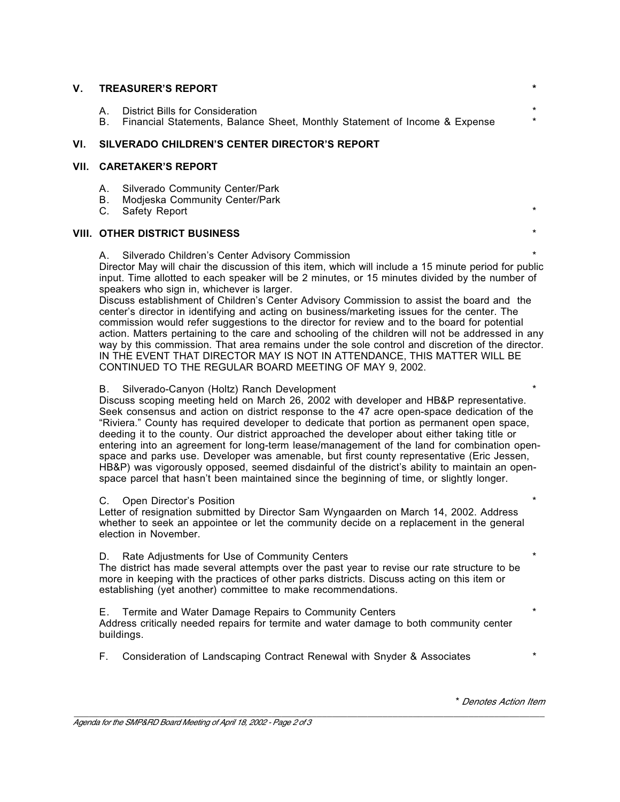| <b>V. TREASURER'S REPORT</b>                          |                                                                                                                   |                    |
|-------------------------------------------------------|-------------------------------------------------------------------------------------------------------------------|--------------------|
| A.                                                    | District Bills for Consideration<br>B. Financial Statements, Balance Sheet, Monthly Statement of Income & Expense | $\star$<br>$\star$ |
| VI.     SILVERADO CHILDREN'S CENTER DIRECTOR'S REPORT |                                                                                                                   |                    |
| VII.    CARETAKER'S REPORT                            |                                                                                                                   |                    |

- A. Silverado Community Center/Park
- B. Modjeska Community Center/Park
- C. Safety Report

## **VIII. OTHER DISTRICT BUSINESS** \*

A. Silverado Children's Center Advisory Commission \*

Director May will chair the discussion of this item, which will include a 15 minute period for public input. Time allotted to each speaker will be 2 minutes, or 15 minutes divided by the number of speakers who sign in, whichever is larger.

Discuss establishment of Children's Center Advisory Commission to assist the board and the center's director in identifying and acting on business/marketing issues for the center. The commission would refer suggestions to the director for review and to the board for potential action. Matters pertaining to the care and schooling of the children will not be addressed in any way by this commission. That area remains under the sole control and discretion of the director. IN THE EVENT THAT DIRECTOR MAY IS NOT IN ATTENDANCE, THIS MATTER WILL BE CONTINUED TO THE REGULAR BOARD MEETING OF MAY 9, 2002.

### B. Silverado-Canyon (Holtz) Ranch Development

Discuss scoping meeting held on March 26, 2002 with developer and HB&P representative. Seek consensus and action on district response to the 47 acre open-space dedication of the "Riviera." County has required developer to dedicate that portion as permanent open space, deeding it to the county. Our district approached the developer about either taking title or entering into an agreement for long-term lease/management of the land for combination openspace and parks use. Developer was amenable, but first county representative (Eric Jessen, HB&P) was vigorously opposed, seemed disdainful of the district's ability to maintain an openspace parcel that hasn't been maintained since the beginning of time, or slightly longer.

### C. Open Director's Position

Letter of resignation submitted by Director Sam Wyngaarden on March 14, 2002. Address whether to seek an appointee or let the community decide on a replacement in the general election in November.

## D. Rate Adjustments for Use of Community Centers

The district has made several attempts over the past year to revise our rate structure to be more in keeping with the practices of other parks districts. Discuss acting on this item or establishing (yet another) committee to make recommendations.

E. Termite and Water Damage Repairs to Community Centers \* Address critically needed repairs for termite and water damage to both community center buildings.

F. Consideration of Landscaping Contract Renewal with Snyder & Associates \*

\* *Denotes Action Item*

\_\_\_\_\_\_\_\_\_\_\_\_\_\_\_\_\_\_\_\_\_\_\_\_\_\_\_\_\_\_\_\_\_\_\_\_\_\_\_\_\_\_\_\_\_\_\_\_\_\_\_\_\_\_\_\_\_\_\_\_\_\_\_\_\_\_\_\_\_\_\_\_\_\_\_\_\_\_\_\_\_\_\_\_\_\_\_\_\_\_\_\_\_ *Agenda for the SMP&RD Board Meeting of April 18, 2002 - Page 2 of 3*